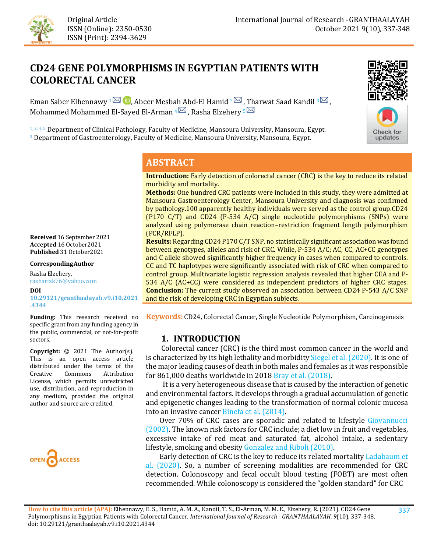

# **CD24 GENE POLYMORPHISMS IN EGYPTIAN PATIENTS WITH COLORECTAL CANCER**

Eman Saber Elhennawy  $1^{\text{th}}$  **b**, Abeer Mesba[h A](mailto:mmelarman@yahoo.com)bd-El Hamid  $2^{\text{th}}$ , Tharwat Saad Kandil  $3^{\text{th}}$ , Mohammed Mohammed El-Sayed El-Arman  $4^{\sim}$ , Rasha Elzehery  $5^{\sim}$ 

<sup>1, 2, 4, 5</sup> Department of Clinical Pathology, Faculty of Medicine, Mansoura University, Mansoura, Egypt. <sup>3</sup> Department of Gastroenterology, Faculty of Medicine, Mansoura University, Mansoura, Egypt.





## **ABSTRACT**

**Introduction:** Early detection of colorectal cancer (CRC) is the key to reduce its related morbidity and mortality.

**Methods:** One hundred CRC patients were included in this study, they were admitted at Mansoura Gastroenterology Center, Mansoura University and diagnosis was confirmed by pathology.100 apparently healthy individuals were served as the control group.CD24 (P170 C/T) and CD24 (P-534 A/C) single nucleotide polymorphisms (SNPs) were analyzed using polymerase chain reaction–restriction fragment length polymorphism (PCR/RFLP).

**Results:** Regarding CD24 P170 C/T SNP, no statistically significant association was found between genotypes, alleles and risk of CRC. While, P-534 A/C; AC, CC, AC+CC genotypes and C allele showed significantly higher frequency in cases when compared to controls. CC and TC haplotypes were significantly associated with risk of CRC when compared to control group. Multivariate logistic regression analysis revealed that higher CEA and P-534 A/C (AC+CC) were considered as independent predictors of higher CRC stages. **Conclusion:** The current study observed an association between CD24 P-543 A/C SNP and the risk of developing CRC in Egyptian subjects.

**Keywords:** CD24, Colorectal Cancer, Single Nucleotide Polymorphism, Carcinogenesis

#### **1. INTRODUCTION**

 Colorectal cancer (CRC) is the third most common cancer in the world and is characterized by its high lethality and morbidity [Siegel et al. \(2020\).](#page-10-0) It is one of the major leading causes of death in both males and females as it was responsible for 861,000 deaths worldwide in 201[8 Bray et al. \(2018\).](#page-8-0) 

 It is a very heterogeneous disease that is caused by the interaction of genetic and environmental factors. It develops through a gradual accumulation of genetic and epigenetic changes leading to the transformation of normal colonic mucosa into an invasive cancer [Binefa et al. \(2014\).](#page-8-1)

 Over 70% of CRC cases are sporadic and related to lifestyle [Giovannucci](#page-8-2)  [\(2002\).](#page-8-2) The known risk factors for CRC include; a diet low in fruit and vegetables, excessive intake of red meat and saturated fat, alcohol intake, a sedentary lifestyle, smoking and obesit[y Gonzalez and Riboli \(2010\).](#page-8-3) 

 Early detection of CRC is the key to reduce its related mortalit[y Ladabaum et](#page-9-0)  [al. \(2020\).](#page-9-0) So, a number of screening modalities are recommended for CRC detection. Colonoscopy and fecal occult blood testing (FOBT) are most often recommended. While colonoscopy is considered the "golden standard" for CRC

**Received** 16 September 2021 **Accepted** 16 October2021 **Published** 31 October2021

**CorrespondingAuthor**

Rasha Elzehery, rasharizk76@yahoo.com

**DOI [10.29121/granthaalayah.v9.i10.2021](https://dx.doi.org/10.29121/granthaalayah.v9.i10.2021.4344) [.4344](https://dx.doi.org/10.29121/granthaalayah.v9.i10.2021.4344)** 

**Funding:** This research received no specific grant from any funding agency in the public, commercial, or not-for-profit sectors.

**Copyright:** © 2021 The Author(s). This is an open access article distributed under the terms of the<br>Creative Commons Attribution Attribution License, which permits unrestricted use, distribution, and reproduction in any medium, provided the original author and source are credited.

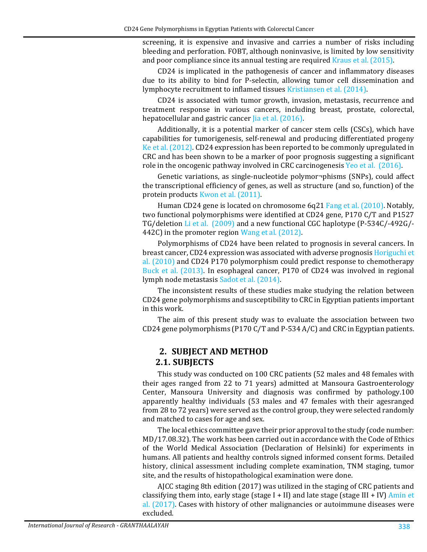screening, it is expensive and invasive and carries a number of risks including bleeding and perforation. FOBT, although noninvasive, is limited by low sensitivity and poor compliance since its annual testing are require[d Kraus et al. \(2015\).](#page-9-1)

CD24 is implicated in the pathogenesis of cancer and inflammatory diseases due to its ability to bind for P-selectin, allowing tumor cell dissemination and lymphocyte recruitment to inflamed tissues [Kristiansen et al. \(2014\).](#page-9-2)

CD24 is associated with tumor growth, invasion, metastasis, recurrence and treatment response in various cancers, including breast, prostate, colorectal, hepatocellular and gastric cancer *Jia et al.* (2016).

Additionally, it is a potential marker of cancer stem cells (CSCs), which have capabilities for tumorigenesis, self-renewal and producing differentiated progeny [Ke et al. \(2012\).](#page-9-4) CD24 expression has been reported to be commonly upregulated in CRC and has been shown to be a marker of poor prognosis suggesting a significant role in the oncogenic pathway involved in CRC carcinogenesis [Yeo et al. \(2016\).](#page-11-0)

Genetic variations, as single-nucleotide polymor¬phisms (SNPs), could affect the transcriptional efficiency of genes, as well as structure (and so, function) of the protein products [Kwon et al. \(2011\).](#page-9-5)

Human CD24 gene is located on chromosome 6q21 [Fang et al. \(2010\).](#page-8-4) Notably, two functional polymorphisms were identified at CD24 gene, P170 C/T and P1527 TG/deletion [Li et al. \(2009\)](#page-9-6) and a new functional CGC haplotype (P-534C/-492G/- 442C) in the promoter region [Wang et al. \(2012\).](#page-11-1)

Polymorphisms of CD24 have been related to prognosis in several cancers. In breast cancer, CD24 expression was associated with adverse prognosi[s Horiguchi et](#page-8-5)  [al. \(2010\)](#page-8-5) and CD24 P170 polymorphism could predict response to chemotherapy [Buck et al. \(2013\).](#page-8-6) In esophageal cancer, P170 of CD24 was involved in regional lymph node metastasis [Sadot et al. \(2014\).](#page-10-1) 

The inconsistent results of these studies make studying the relation between CD24 gene polymorphisms and susceptibility to CRC in Egyptian patients important in this work.

The aim of this present study was to evaluate the association between two CD24 gene polymorphisms (P170 C/T and P-534 A/C) and CRC in Egyptian patients.

#### **2. SUBJECT AND METHOD 2.1. SUBJECTS**

This study was conducted on 100 CRC patients (52 males and 48 females with their ages ranged from 22 to 71 years) admitted at Mansoura Gastroenterology Center, Mansoura University and diagnosis was confirmed by pathology.100 apparently healthy individuals (53 males and 47 females with their agesranged from 28 to 72 years) were served as the control group, they were selected randomly and matched to cases for age and sex.

The local ethics committee gave their prior approval to the study (code number: MD/17.08.32). The work has been carried out in accordance with the Code of Ethics of the World Medical Association (Declaration of Helsinki) for experiments in humans. All patients and healthy controls signed informed consent forms. Detailed history, clinical assessment including complete examination, TNM staging, tumor site, and the results of histopathological examination were done.

AJCC staging 8th edition (2017) was utilized in the staging of CRC patients and classifying them into, early stage (stage I + II) and late stage (stage III + IV) Amin et [al. \(2017\).](#page-8-7) Cases with history of other malignancies or autoimmune diseases were excluded.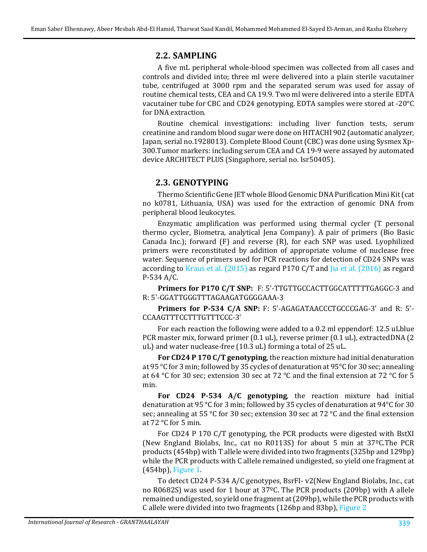#### **2.2. SAMPLING**

A five mL peripheral whole-blood specimen was collected from all cases and controls and divided into; three ml were delivered into a plain sterile vacutainer tube, centrifuged at 3000 rpm and the separated serum was used for assay of routine chemical tests, CEA and CA 19.9. Two ml were delivered into a sterile EDTA vacutainer tube for CBC and CD24 genotyping. EDTA samples were stored at -20°C for DNA extraction.

Routine chemical investigations: including liver function tests, serum creatinine and random blood sugar were done on HITACHI 902 (automatic analyzer, Japan, serial no.1928013). Complete Blood Count (CBC) was done using Sysmex Xp-300.Tumor markers: including serum CEA and CA 19-9 were assayed by automated device ARCHITECT PLUS (Singaphore, serial no. Isr50405).

#### **2.3. GENOTYPING**

Thermo Scientific Gene JET whole Blood Genomic DNA Purification Mini Kit (cat no k0781, Lithuania, USA) was used for the extraction of genomic DNA from peripheral blood leukocytes.

Enzymatic amplification was performed using thermal cycler (T personal thermo cycler, Biometra, analytical Jena Company). A pair of primers (Bio Basic Canada Inc.); forward (F) and reverse (R), for each SNP was used. Lyophilized primers were reconstituted by addition of appropriate volume of nuclease free water. Sequence of primers used for PCR reactions for detection of CD24 SNPs was according to [Kraus et al. \(2015\)](#page-9-1) as regard P170 C/T and [Jia et al. \(2016\)](#page-9-3) as regard P-534 A/C.

**Primers for P170 C/T SNP:** F: 5'-TTGTTGCCACTTGGCATTTTTGAGGC-3 and R: 5'-GGATTGGGTTTAGAAGATGGGGAAA-3

**Primers for P-534 C/A SNP:** F: 5'-AGAGATAACCCTGCCCGAG-3' and R: 5'- CCAAGTTTCCTTTGTTTCCC-3'

For each reaction the following were added to a 0.2 ml eppendorf: 12.5 uLblue PCR master mix, forward primer (0.1 uL), reverse primer (0.1 uL), extractedDNA (2 uL) and water nuclease-free (10.3 uL) forming a total of 25 uL.

**For CD24 P 170 C/T genotyping**, the reaction mixture had initial denaturation at 95 °C for 3 min; followed by 35 cycles of denaturation at 95°C for 30 sec; annealing at 64 °C for 30 sec; extension 30 sec at 72 °C and the final extension at 72 °C for 5 min.

**For CD24 P-534 A/C genotyping**, the reaction mixture had initial denaturation at 95 °C for 3 min; followed by 35 cycles of denaturation at 94°C for 30 sec; annealing at 55 °C for 30 sec; extension 30 sec at 72 °C and the final extension at 72 °C for 5 min.

For CD24 P 170 C/T genotyping, the PCR products were digested with BstXI (New England Biolabs, Inc., cat no R0113S) for about 5 min at 37ºC.The PCR products (454bp) with T allele were divided into two fragments (325bp and 129bp) while the PCR products with C allele remained undigested, so yield one fragment at (454bp), [Figure 1.](#page-3-0)

To detect CD24 P-534 A/C genotypes, BsrFI- v2(New England Biolabs, Inc., cat no R0682S) was used for 1 hour at 37ºC. The PCR products (209bp) with A allele remained undigested, so yield one fragment at (209bp), while the PCR products with C allele were divided into two fragments (126bp and 83bp), [Figure 2](#page-3-1)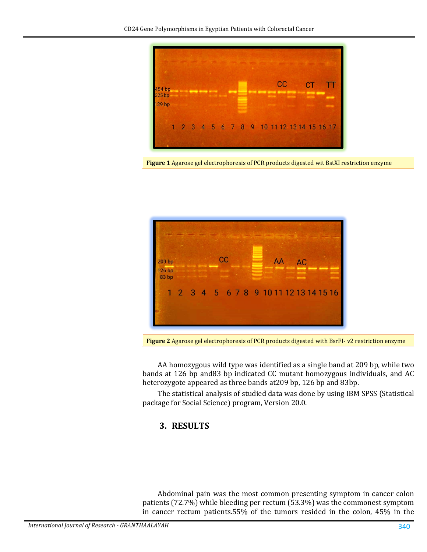

<span id="page-3-0"></span>**Figure 1** Agarose gel electrophoresis of PCR products digested wit BstXI restriction enzyme



**Figure 2** Agarose gel electrophoresis of PCR products digested with BsrFI- v2 restriction enzyme

<span id="page-3-1"></span>AA homozygous wild type was identified as a single band at 209 bp, while two bands at 126 bp and83 bp indicated CC mutant homozygous individuals, and AC heterozygote appeared as three bands at209 bp, 126 bp and 83bp.

The statistical analysis of studied data was done by using IBM SPSS (Statistical package for Social Science) program, Version 20.0.

## **3. RESULTS**

Abdominal pain was the most common presenting symptom in cancer colon patients (72.7%) while bleeding per rectum (53.3%) was the commonest symptom in cancer rectum patients.55% of the tumors resided in the colon, 45% in the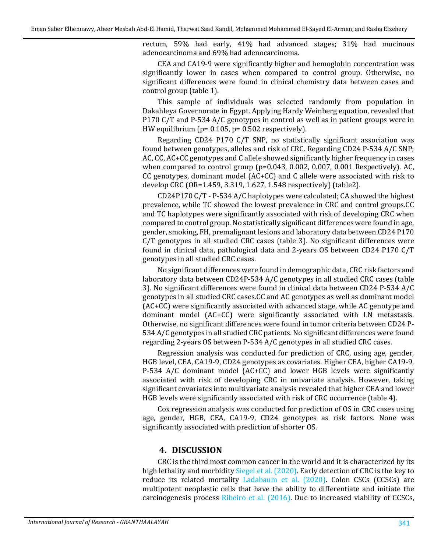rectum, 59% had early, 41% had advanced stages; 31% had mucinous adenocarcinoma and 69% had adenocarcinoma.

CEA and CA19-9 were significantly higher and hemoglobin concentration was significantly lower in cases when compared to control group. Otherwise, no significant differences were found in clinical chemistry data between cases and control group (table 1).

This sample of individuals was selected randomly from population in Dakahleya Governorate in Egypt. Applying Hardy Weinberg equation, revealed that P170 C/T and P-534 A/C genotypes in control as well as in patient groups were in HW equilibrium (p= 0.105, p= 0.502 respectively).

Regarding CD24 P170 C/T SNP, no statistically significant association was found between genotypes, alleles and risk of CRC. Regarding CD24 P-534 A/C SNP; AC, CC, AC+CC genotypes and C allele showed significantly higher frequency in cases when compared to control group (p=0.043, 0.002, 0.007, 0.001 Respectively). AC, CC genotypes, dominant model (AC+CC) and C allele were associated with risk to develop CRC (OR=1.459, 3.319, 1.627, 1.548 respectively) (table2).

CD24P170 C/T - P-534 A/C haplotypes were calculated; CA showed the highest prevalence, while TC showed the lowest prevalence in CRC and control groups.CC and TC haplotypes were significantly associated with risk of developing CRC when compared to control group. No statistically significant differences were found in age, gender, smoking, FH, premalignant lesions and laboratory data between CD24 P170 C/T genotypes in all studied CRC cases (table 3). No significant differences were found in clinical data, pathological data and 2-years OS between CD24 P170 C/T genotypes in all studied CRC cases.

No significant differences were found in demographic data, CRC risk factors and laboratory data between CD24P-534 A/C genotypes in all studied CRC cases (table 3). No significant differences were found in clinical data between CD24 P-534 A/C genotypes in all studied CRC cases.CC and AC genotypes as well as dominant model (AC+CC) were significantly associated with advanced stage, while AC genotype and dominant model (AC+CC) were significantly associated with LN metastasis. Otherwise, no significant differences were found in tumor criteria between CD24 P-534 A/C genotypes in all studied CRC patients. No significant differences were found regarding 2-years OS between P-534 A/C genotypes in all studied CRC cases.

Regression analysis was conducted for prediction of CRC, using age, gender, HGB level, CEA, CA19-9, CD24 genotypes as covariates. Higher CEA, higher CA19-9, P-534 A/C dominant model (AC+CC) and lower HGB levels were significantly associated with risk of developing CRC in univariate analysis. However, taking significant covariates into multivariate analysis revealed that higher CEA and lower HGB levels were significantly associated with risk of CRC occurrence (table 4).

Cox regression analysis was conducted for prediction of OS in CRC cases using age, gender, HGB, CEA, CA19-9, CD24 genotypes as risk factors. None was significantly associated with prediction of shorter OS.

#### **4. DISCUSSION**

CRC is the third most common cancer in the world and it is characterized by its high lethality and morbidit[y Siegel et al. \(2020\).](#page-10-0) Early detection of CRC is the key to reduce its related mortality [Ladabaum et al. \(2020\).](#page-9-0) Colon CSCs (CCSCs) are multipotent neoplastic cells that have the ability to differentiate and initiate the carcinogenesis process [Ribeiro et al. \(2016\).](#page-10-2) Due to increased viability of CCSCs,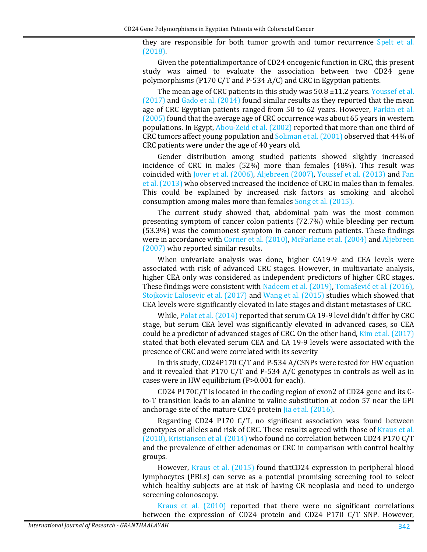they are responsible for both tumor growth and tumor recurrence [Spelt et al.](#page-10-3)  [\(2018\).](#page-10-3)

Given the potentialimportance of CD24 oncogenic function in CRC, this present study was aimed to evaluate the association between two CD24 gene polymorphisms (P170 C/T and P-534 A/C) and CRC in Egyptian patients.

The mean age of CRC patients in this study was 50.8 ±11.2 years. Youssef et al.  $(2017)$  and Gado et al.  $(2014)$  found similar results as they reported that the mean age of CRC Egyptian patients ranged from 50 to 62 years. However, [Parkin et al.](#page-10-4)  [\(2005\)](#page-10-4) found that the average age of CRC occurrence was about 65 years in western populations. In Egypt, [Abou-Zeid et al. \(2002\)](#page-7-0) reported that more than one third of CRC tumors affect young population and [Soliman et al. \(2001\)](#page-10-5) observed that 44% of CRC patients were under the age of 40 years old.

Gender distribution among studied patients showed slightly increased incidence of CRC in males (52%) more than females (48%). This result was coincided with [Jover et al. \(2006\),](#page-9-7) [Aljebreen \(2007\),](#page-8-9) [Youssef et al. \(2013\)](#page-11-3) and [Fan](#page-8-10)  [et al. \(2013\)](#page-8-10) who observed increased the incidence of CRC in males than in females. This could be explained by increased risk factors as smoking and alcohol consumption among males more than females [Song et al. \(2015\).](#page-10-6)

The current study showed that, abdominal pain was the most common presenting symptom of cancer colon patients (72.7%) while bleeding per rectum (53.3%) was the commonest symptom in cancer rectum patients. These findings were in accordance wit[h Corner et al. \(2010\),](#page-8-11) [McFarlane et al. \(2004\)](#page-9-8) an[d Aljebreen](#page-8-9)  [\(2007\)](#page-8-9) who reported similar results.

When univariate analysis was done, higher CA19-9 and CEA levels were associated with risk of advanced CRC stages. However, in multivariate analysis, higher CEA only was considered as independent predictors of higher CRC stages. These findings were consistent with [Nadeem et al. \(2019\),](#page-10-7) [Tomašević et al. \(2016\)](#page-10-8), [Stojkovic Lalosevic et al. \(2017\)](#page-10-9) and [Wang et al. \(2015\)](#page-11-4) studies which showed that CEA levels were significantly elevated in late stages and distant metastases of CRC.

While[, Polat et al. \(2014\)](#page-10-10) reported that serum CA 19-9 level didn't differ by CRC stage, but serum CEA level was significantly elevated in advanced cases, so CEA could be a predictor of advanced stages of CRC. On the other hand[, Kim et al. \(2017\)](#page-9-9) stated that both elevated serum CEA and CA 19-9 levels were associated with the presence of CRC and were correlated with its severity

In this study, CD24P170 C/T and P-534 A/CSNPs were tested for HW equation and it revealed that P170 C/T and P-534 A/C genotypes in controls as well as in cases were in HW equilibrium (P>0.001 for each).

CD24 P170C/T is located in the coding region of exon2 of CD24 gene and its Cto-T transition leads to an alanine to valine substitution at codon 57 near the GPI anchorage site of the mature CD24 protei[n Jia et al. \(2016\).](#page-9-3)

Regarding CD24 P170 C/T, no significant association was found between genotypes or alleles and risk of CRC. These results agreed with those o[f Kraus et al.](#page-9-10)  [\(2010\),](#page-9-10) [Kristiansen et al. \(2014\)](#page-9-2) who found no correlation between CD24 P170 C/T and the prevalence of either adenomas or CRC in comparison with control healthy groups.

However, [Kraus et al. \(2015\)](#page-9-1) found thatCD24 expression in peripheral blood lymphocytes (PBLs) can serve as a potential promising screening tool to select which healthy subjects are at risk of having CR neoplasia and need to undergo screening colonoscopy.

[Kraus et al. \(2010\)](#page-9-10) reported that there were no significant correlations between the expression of CD24 protein and CD24 P170 C/T SNP. However,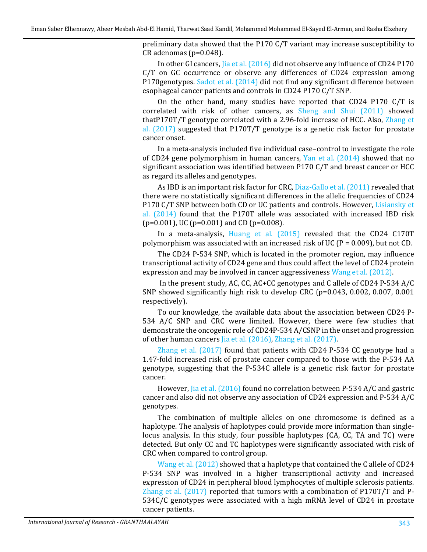preliminary data showed that the P170 C/T variant may increase susceptibility to CR adenomas (p=0.048).

In other GI cancers, [Jia et al. \(2016\)](#page-9-3) did not observe any influence of CD24 P170 C/T on GC occurrence or observe any differences of CD24 expression among P170genotypes. [Sadot et al. \(2014\)](#page-10-1) did not find any significant difference between esophageal cancer patients and controls in CD24 P170 C/T SNP.

On the other hand, many studies have reported that CD24 P170 C/T is correlated with risk of other cancers, as [Sheng and Shui \(2011\)](#page-10-11) showed thatP170T/T genotype correlated with a 2.96-fold increase of HCC. Also, [Zhang et](#page-11-5)  [al. \(2017\)](#page-11-5) suggested that P170T/T genotype is a genetic risk factor for prostate cancer onset.

In a meta-analysis included five individual case–control to investigate the role of CD24 gene polymorphism in human cancers, [Yan et al. \(2014\)](#page-11-6) showed that no significant association was identified between P170 C/T and breast cancer or HCC as regard its alleles and genotypes.

As IBD is an important risk factor for CRC, [Diaz-Gallo et al. \(2011\)](#page-8-12) revealed that there were no statistically significant differences in the allelic frequencies of CD24 P170 C/T SNP between both CD or UC patients and controls. However, Lisiansky et [al. \(2014\)](#page-9-11) found that the P170T allele was associated with increased IBD risk  $(p=0.001)$ , UC ( $p=0.001$ ) and CD ( $p=0.008$ ).

In a meta-analysis, [Huang et al. \(2015\)](#page-9-12) revealed that the CD24 C170T polymorphism was associated with an increased risk of UC ( $P = 0.009$ ), but not CD.

The CD24 P-534 SNP, which is located in the promoter region, may influence transcriptional activity of CD24 gene and thus could affect the level of CD24 protein expression and may be involved in cancer aggressiveness [Wang et al. \(2012\).](#page-11-1) 

In the present study, AC, CC, AC+CC genotypes and C allele of CD24 P-534 A/C SNP showed significantly high risk to develop CRC (p=0.043, 0.002, 0.007, 0.001 respectively).

To our knowledge, the available data about the association between CD24 P-534 A/C SNP and CRC were limited. However, there were few studies that demonstrate the oncogenic role of CD24P-534 A/CSNP in the onset and progression of other human cancers [Jia et al. \(2016\),](#page-9-3) [Zhang et al. \(2017\).](#page-11-5)

[Zhang et al. \(2017\)](#page-11-5) found that patients with CD24 P-534 CC genotype had a 1.47-fold increased risk of prostate cancer compared to those with the P-534 AA genotype, suggesting that the P-534C allele is a genetic risk factor for prostate cancer.

However, [Jia et al. \(2016\)](#page-9-3) found no correlation between P-534 A/C and gastric cancer and also did not observe any association of CD24 expression and P-534 A/C genotypes.

The combination of multiple alleles on one chromosome is defined as a haplotype. The analysis of haplotypes could provide more information than singlelocus analysis. In this study, four possible haplotypes (CA, CC, TA and TC) were detected. But only CC and TC haplotypes were significantly associated with risk of CRC when compared to control group.

[Wang et al. \(2012\)](#page-11-1) showed that a haplotype that contained the C allele of CD24 P-534 SNP was involved in a higher transcriptional activity and increased expression of CD24 in peripheral blood lymphocytes of multiple sclerosis patients. [Zhang et al. \(2017\)](#page-11-5) reported that tumors with a combination of P170T/T and P-534C/C genotypes were associated with a high mRNA level of CD24 in prostate cancer patients.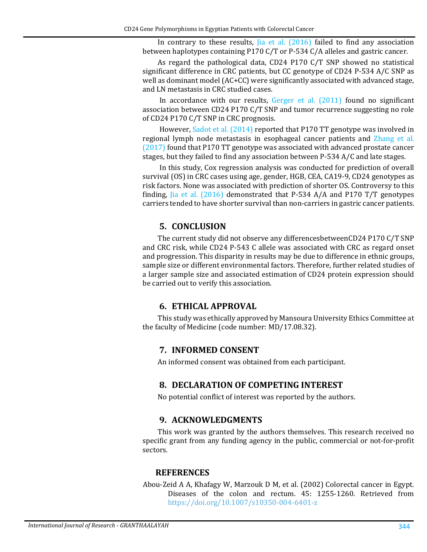In contrary to these results,  $[ia]$  et al.  $(2016)$  failed to find any association between haplotypes containing P170 C/T or P-534 C/A alleles and gastric cancer.

As regard the pathological data, CD24 P170 C/T SNP showed no statistical significant difference in CRC patients, but CC genotype of CD24 P-534 A/C SNP as well as dominant model (AC+CC) were significantly associated with advanced stage, and LN metastasis in CRC studied cases.

In accordance with our results, [Gerger et al. \(2011\)](#page-8-13) found no significant association between CD24 P170 C/T SNP and tumor recurrence suggesting no role of CD24 P170 C/T SNP in CRC prognosis.

However, [Sadot et al. \(2014\)](#page-10-1) reported that P170 TT genotype was involved in regional lymph node metastasis in esophageal cancer patients and [Zhang et al.](#page-11-5)  [\(2017\)](#page-11-5) found that P170 TT genotype was associated with advanced prostate cancer stages, but they failed to find any association between P-534 A/C and late stages.

In this study, Cox regression analysis was conducted for prediction of overall survival (OS) in CRC cases using age, gender, HGB, CEA, CA19-9, CD24 genotypes as risk factors. None was associated with prediction of shorter OS. Controversy to this finding, [Jia et al. \(2016\)](#page-9-3) demonstrated that P-534 A/A and P170 T/T genotypes carriers tended to have shorter survival than non-carriers in gastric cancer patients.

### **5. CONCLUSION**

The current study did not observe any differencesbetweenCD24 P170 C/T SNP and CRC risk, while CD24 P-543 C allele was associated with CRC as regard onset and progression. This disparity in results may be due to difference in ethnic groups, sample size or different environmental factors. Therefore, further related studies of a larger sample size and associated estimation of CD24 protein expression should be carried out to verify this association.

#### **6. ETHICAL APPROVAL**

This study was ethically approved by Mansoura University Ethics Committee at the faculty of Medicine (code number: MD/17.08.32).

#### **7. INFORMED CONSENT**

An informed consent was obtained from each participant.

## **8. DECLARATION OF COMPETING INTEREST**

No potential conflict of interest was reported by the authors.

#### **9. ACKNOWLEDGMENTS**

This work was granted by the authors themselves. This research received no specific grant from any funding agency in the public, commercial or not-for-profit sectors.

#### **REFERENCES**

<span id="page-7-0"></span>Abou-Zeid A A, Khafagy W, Marzouk D M, et al. (2002) Colorectal cancer in Egypt. Diseases of the colon and rectum. 45: 1255-1260. Retrieved from <https://doi.org/10.1007/s10350-004-6401-z>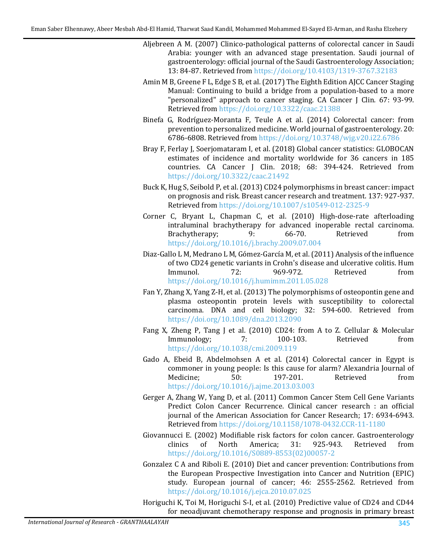- <span id="page-8-9"></span>Aljebreen A M. (2007) Clinico-pathological patterns of colorectal cancer in Saudi Arabia: younger with an advanced stage presentation. Saudi journal of gastroenterology: official journal of the Saudi Gastroenterology Association; 13: 84-87. Retrieved from <https://doi.org/10.4103/1319-3767.32183>
- <span id="page-8-7"></span>Amin M B, Greene F L, Edge S B, et al. (2017) The Eighth Edition AJCC Cancer Staging Manual: Continuing to build a bridge from a population-based to a more "personalized" approach to cancer staging. CA Cancer J Clin. 67: 93-99. Retrieved from <https://doi.org/10.3322/caac.21388>
- <span id="page-8-1"></span>Binefa G, Rodríguez-Moranta F, Teule A et al. (2014) Colorectal cancer: from prevention to personalized medicine. World journal of gastroenterology. 20: 6786-6808. Retrieved from <https://doi.org/10.3748/wjg.v20.i22.6786>
- <span id="page-8-0"></span>Bray F, Ferlay J, Soerjomataram I, et al. (2018) Global cancer statistics: GLOBOCAN estimates of incidence and mortality worldwide for 36 cancers in 185 countries. CA Cancer J Clin. 2018; 68: 394-424. Retrieved from <https://doi.org/10.3322/caac.21492>
- <span id="page-8-6"></span>Buck K, Hug S, Seibold P, et al.(2013) CD24 polymorphisms in breast cancer: impact on prognosis and risk. Breast cancer research and treatment. 137: 927-937. Retrieved from <https://doi.org/10.1007/s10549-012-2325-9>
- <span id="page-8-11"></span>Corner C, Bryant L, Chapman C, et al. (2010) High-dose-rate afterloading intraluminal brachytherapy for advanced inoperable rectal carcinoma.<br>Brachytherapy; 9: 66-70. Retrieved from Brachytherapy; <https://doi.org/10.1016/j.brachy.2009.07.004>
- <span id="page-8-12"></span>Diaz-Gallo L M, Medrano L M, Gómez-García M, et al.(2011) Analysis of the influence of two CD24 genetic variants in Crohn's disease and ulcerative colitis. Hum<br>Immunol. 72: 969-972. Retrieved from Immunol. 72: 969-972. Retrieved from <https://doi.org/10.1016/j.humimm.2011.05.028>
- <span id="page-8-10"></span>Fan Y, Zhang X, Yang Z-H, et al. (2013) The polymorphisms of osteopontin gene and plasma osteopontin protein levels with susceptibility to colorectal carcinoma. DNA and cell biology; 32: 594-600. Retrieved from <https://doi.org/10.1089/dna.2013.2090>
- <span id="page-8-4"></span>Fang X, Zheng P, Tang J et al. (2010) CD24: from A to Z. Cellular & Molecular<br>Immunology: 7: 100-103. Retrieved from Immunology; <https://doi.org/10.1038/cmi.2009.119>
- <span id="page-8-8"></span>Gado A, Ebeid B, Abdelmohsen A et al. (2014) Colorectal cancer in Egypt is commoner in young people: Is this cause for alarm? Alexandria Journal of Medicine: 50: 197-201. Retrieved from Medicine; 50: 50: 197-201. Retrieved from <https://doi.org/10.1016/j.ajme.2013.03.003>
- <span id="page-8-13"></span>Gerger A, Zhang W, Yang D, et al. (2011) Common Cancer Stem Cell Gene Variants Predict Colon Cancer Recurrence. Clinical cancer research : an official journal of the American Association for Cancer Research; 17: 6934-6943. Retrieved from <https://doi.org/10.1158/1078-0432.CCR-11-1180>
- <span id="page-8-2"></span>Giovannucci E. (2002) Modifiable risk factors for colon cancer. Gastroenterology<br>clinics of North America; 31: 925-943. Retrieved from clinics of North America; 31: 925-943. Retrieved from [https://doi.org/10.1016/S0889-8553\(02\)00057-2](https://doi.org/10.1016/S0889-8553(02)00057-2)
- <span id="page-8-3"></span>Gonzalez C A and Riboli E. (2010) Diet and cancer prevention: Contributions from the European Prospective Investigation into Cancer and Nutrition (EPIC) study. European journal of cancer; 46: 2555-2562. Retrieved from <https://doi.org/10.1016/j.ejca.2010.07.025>

<span id="page-8-5"></span>Horiguchi K, Toi M, Horiguchi S-I, et al. (2010) Predictive value of CD24 and CD44 for neoadjuvant chemotherapy response and prognosis in primary breast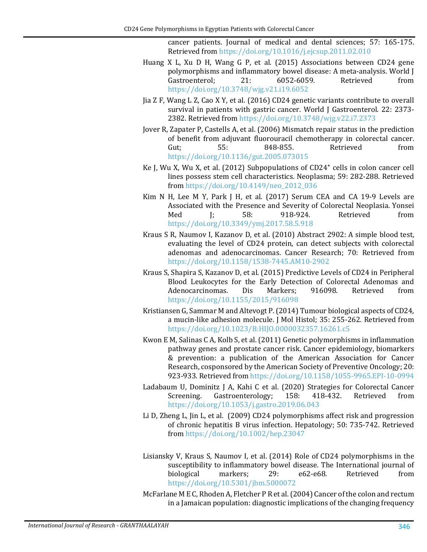cancer patients. Journal of medical and dental sciences; 57: 165-175. Retrieved from <https://doi.org/10.1016/j.ejcsup.2011.02.010>

- <span id="page-9-12"></span>Huang X L, Xu D H, Wang G P, et al. (2015) Associations between CD24 gene polymorphisms and inflammatory bowel disease: A meta-analysis. World J<br>Gastroenterol; 21: 6052-6059. Retrieved from Gastroenterol; <https://doi.org/10.3748/wjg.v21.i19.6052>
- <span id="page-9-3"></span>Jia Z F, Wang L Z, Cao X Y, et al. (2016) CD24 genetic variants contribute to overall survival in patients with gastric cancer. World J Gastroenterol. 22: 2373-2382. Retrieved from <https://doi.org/10.3748/wjg.v22.i7.2373>
- <span id="page-9-7"></span>Jover R, Zapater P, Castells A, et al. (2006) Mismatch repair status in the prediction of benefit from adjuvant fluorouracil chemotherapy in colorectal cancer.<br>
Gut: 55: 848-855. Retrieved from Gut; 55: 848-855. Retrieved from <https://doi.org/10.1136/gut.2005.073015>
- <span id="page-9-4"></span>Ke J, Wu X, Wu X, et al. (2012) Subpopulations of  $CD24<sup>+</sup>$  cells in colon cancer cell lines possess stem cell characteristics. Neoplasma; 59: 282-288. Retrieved from [https://doi.org/10.4149/neo\\_2012\\_036](https://doi.org/10.4149/neo_2012_036)
- <span id="page-9-9"></span>Kim N H, Lee M Y, Park J H, et al. (2017) Serum CEA and CA 19-9 Levels are Associated with the Presence and Severity of Colorectal Neoplasia. Yonsei<br>Med 1: 58: 918-924. Retrieved from Med J; 58: 918-924. Retrieved from <https://doi.org/10.3349/ymj.2017.58.5.918>
- <span id="page-9-10"></span>Kraus S R, Naumov I, Kazanov D, et al. (2010) Abstract 2902: A simple blood test, evaluating the level of CD24 protein, can detect subjects with colorectal adenomas and adenocarcinomas. Cancer Research; 70: Retrieved from <https://doi.org/10.1158/1538-7445.AM10-2902>
- <span id="page-9-1"></span>Kraus S, Shapira S, Kazanov D, et al. (2015) Predictive Levels of CD24 in Peripheral Blood Leukocytes for the Early Detection of Colorectal Adenomas and<br>Adenocarcinomas. Dis Markers; 916098. Retrieved from Adenocarcinomas. <https://doi.org/10.1155/2015/916098>
- <span id="page-9-2"></span>Kristiansen G, Sammar M and Altevogt P.(2014) Tumour biological aspects of CD24, a mucin-like adhesion molecule. J Mol Histol; 35: 255-262. Retrieved from <https://doi.org/10.1023/B:HIJO.0000032357.16261.c5>
- <span id="page-9-5"></span>Kwon E M, Salinas C A, Kolb S, et al. (2011) Genetic polymorphisms in inflammation pathway genes and prostate cancer risk. Cancer epidemiology, biomarkers & prevention: a publication of the American Association for Cancer Research, cosponsored by the American Society of Preventive Oncology; 20: 923-933. Retrieved from <https://doi.org/10.1158/1055-9965.EPI-10-0994>
- <span id="page-9-0"></span>Ladabaum U, Dominitz J A, Kahi C et al. (2020) Strategies for Colorectal Cancer<br>Screening. Gastroenterology: 158: 418-432. Retrieved from Gastroenterology; <https://doi.org/10.1053/j.gastro.2019.06.043>
- <span id="page-9-6"></span>Li D, Zheng L, Jin L, et al. (2009) CD24 polymorphisms affect risk and progression of chronic hepatitis B virus infection. Hepatology; 50: 735-742. Retrieved from <https://doi.org/10.1002/hep.23047>
- <span id="page-9-11"></span>Lisiansky V, Kraus S, Naumov I, et al. (2014) Role of CD24 polymorphisms in the susceptibility to inflammatory bowel disease. The International journal of biological markers; 29: e62-e68. Retrieved from biological markers; 29: e62-e68. Retrieved from <https://doi.org/10.5301/jbm.5000072>
- <span id="page-9-8"></span>McFarlane M E C, Rhoden A, Fletcher P R et al.(2004) Cancer of the colon and rectum in a Jamaican population: diagnostic implications of the changing frequency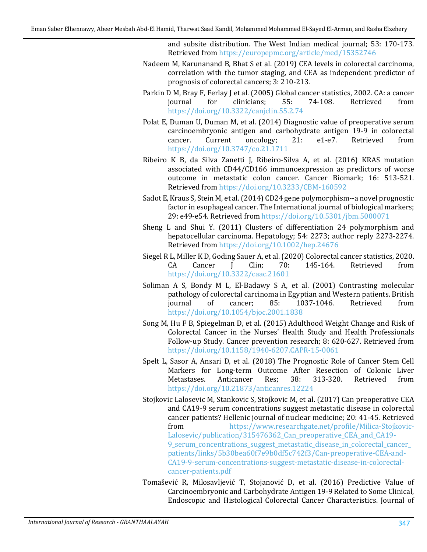and subsite distribution. The West Indian medical journal; 53: 170-173. Retrieved from <https://europepmc.org/article/med/15352746>

- <span id="page-10-7"></span>Nadeem M, Karunanand B, Bhat S et al. (2019) CEA levels in colorectal carcinoma, correlation with the tumor staging, and CEA as independent predictor of prognosis of colorectal cancers; 3: 210-213.
- <span id="page-10-4"></span>Parkin D M, Bray F, Ferlay J et al. (2005) Global cancer statistics, 2002. CA: a cancer<br>journal for clinicians; 55: 74-108. Retrieved from journal for clinicians; 55: 74-108. Retrieved from <https://doi.org/10.3322/canjclin.55.2.74>
- <span id="page-10-10"></span>Polat E, Duman U, Duman M, et al. (2014) Diagnostic value of preoperative serum carcinoembryonic antigen and carbohydrate antigen 19-9 in colorectal cancer. Current oncology; 21: e1-e7. Retrieved from cancer. Current oncology; 21: e1-e7. Retrieved from <https://doi.org/10.3747/co.21.1711>
- <span id="page-10-2"></span>Ribeiro K B, da Silva Zanetti J, Ribeiro-Silva A, et al. (2016) KRAS mutation associated with CD44/CD166 immunoexpression as predictors of worse outcome in metastatic colon cancer. Cancer Biomark; 16: 513-521. Retrieved from <https://doi.org/10.3233/CBM-160592>
- <span id="page-10-1"></span>Sadot E, Kraus S, Stein M, et al.(2014) CD24 gene polymorphism--a novel prognostic factor in esophageal cancer. The International journal of biological markers; 29: e49-e54. Retrieved from <https://doi.org/10.5301/jbm.5000071>
- <span id="page-10-11"></span>Sheng L and Shui Y. (2011) Clusters of differentiation 24 polymorphism and hepatocellular carcinoma. Hepatology; 54: 2273; author reply 2273-2274. Retrieved from <https://doi.org/10.1002/hep.24676>
- <span id="page-10-0"></span>Siegel R L, Miller K D, Goding Sauer A, et al. (2020) Colorectal cancer statistics, 2020.<br>CA Cancer J Clin; 70: 145-164. Retrieved from CA Cancer J Clin; 70: 145-164. Retrieved from <https://doi.org/10.3322/caac.21601>
- <span id="page-10-5"></span>Soliman A S, Bondy M L, El-Badawy S A, et al. (2001) Contrasting molecular pathology of colorectal carcinoma in Egyptian and Western patients. British<br>
journal of cancer; 85: 1037-1046. Retrieved from 1037-1046. <https://doi.org/10.1054/bjoc.2001.1838>
- <span id="page-10-6"></span>Song M, Hu F B, Spiegelman D, et al. (2015) Adulthood Weight Change and Risk of Colorectal Cancer in the Nurses' Health Study and Health Professionals Follow-up Study. Cancer prevention research; 8: 620-627. Retrieved from <https://doi.org/10.1158/1940-6207.CAPR-15-0061>
- <span id="page-10-3"></span>Spelt L, Sasor A, Ansari D, et al. (2018) The Prognostic Role of Cancer Stem Cell Markers for Long-term Outcome After Resection of Colonic Liver<br>Metastases. Anticancer Res; 38: 313-320. Retrieved from Metastases. Anticancer Res; 38: 313-320. Retrieved from <https://doi.org/10.21873/anticanres.12224>
- <span id="page-10-9"></span>Stojkovic Lalosevic M, Stankovic S, Stojkovic M, et al. (2017) Can preoperative CEA and CA19-9 serum concentrations suggest metastatic disease in colorectal cancer patients? Hellenic journal of nuclear medicine; 20: 41-45. Retrieved<br>from https://www.researchgate.net/profile/Milica-Stojkovic[https://www.researchgate.net/profile/Milica-Stojkovic-](https://www.researchgate.net/profile/Milica-Stojkovic-Lalosevic/publication/315476362_Can_preoperative_CEA_and_CA19-9_serum_concentrations_suggest_metastatic_disease_in_colorectal_cancer_patients/links/5b30bea60f7e9b0df5c742f3/Can-preoperative-CEA-and-CA19-9-serum-concentrations-suggest-metastatic-disease-in-colorectal-cancer-patients.pdf)[Lalosevic/publication/315476362\\_Can\\_preoperative\\_CEA\\_and\\_CA19-](https://www.researchgate.net/profile/Milica-Stojkovic-Lalosevic/publication/315476362_Can_preoperative_CEA_and_CA19-9_serum_concentrations_suggest_metastatic_disease_in_colorectal_cancer_patients/links/5b30bea60f7e9b0df5c742f3/Can-preoperative-CEA-and-CA19-9-serum-concentrations-suggest-metastatic-disease-in-colorectal-cancer-patients.pdf) [9\\_serum\\_concentrations\\_suggest\\_metastatic\\_disease\\_in\\_colorectal\\_cancer\\_](https://www.researchgate.net/profile/Milica-Stojkovic-Lalosevic/publication/315476362_Can_preoperative_CEA_and_CA19-9_serum_concentrations_suggest_metastatic_disease_in_colorectal_cancer_patients/links/5b30bea60f7e9b0df5c742f3/Can-preoperative-CEA-and-CA19-9-serum-concentrations-suggest-metastatic-disease-in-colorectal-cancer-patients.pdf) [patients/links/5b30bea60f7e9b0df5c742f3/Can-preoperative-CEA-and-](https://www.researchgate.net/profile/Milica-Stojkovic-Lalosevic/publication/315476362_Can_preoperative_CEA_and_CA19-9_serum_concentrations_suggest_metastatic_disease_in_colorectal_cancer_patients/links/5b30bea60f7e9b0df5c742f3/Can-preoperative-CEA-and-CA19-9-serum-concentrations-suggest-metastatic-disease-in-colorectal-cancer-patients.pdf)[CA19-9-serum-concentrations-suggest-metastatic-disease-in-colorectal](https://www.researchgate.net/profile/Milica-Stojkovic-Lalosevic/publication/315476362_Can_preoperative_CEA_and_CA19-9_serum_concentrations_suggest_metastatic_disease_in_colorectal_cancer_patients/links/5b30bea60f7e9b0df5c742f3/Can-preoperative-CEA-and-CA19-9-serum-concentrations-suggest-metastatic-disease-in-colorectal-cancer-patients.pdf)[cancer-patients.pdf](https://www.researchgate.net/profile/Milica-Stojkovic-Lalosevic/publication/315476362_Can_preoperative_CEA_and_CA19-9_serum_concentrations_suggest_metastatic_disease_in_colorectal_cancer_patients/links/5b30bea60f7e9b0df5c742f3/Can-preoperative-CEA-and-CA19-9-serum-concentrations-suggest-metastatic-disease-in-colorectal-cancer-patients.pdf)
- <span id="page-10-8"></span>Tomašević R, Milosavljević T, Stojanović D, et al. (2016) Predictive Value of Carcinoembryonic and Carbohydrate Antigen 19-9 Related to Some Clinical, Endoscopic and Histological Colorectal Cancer Characteristics. Journal of